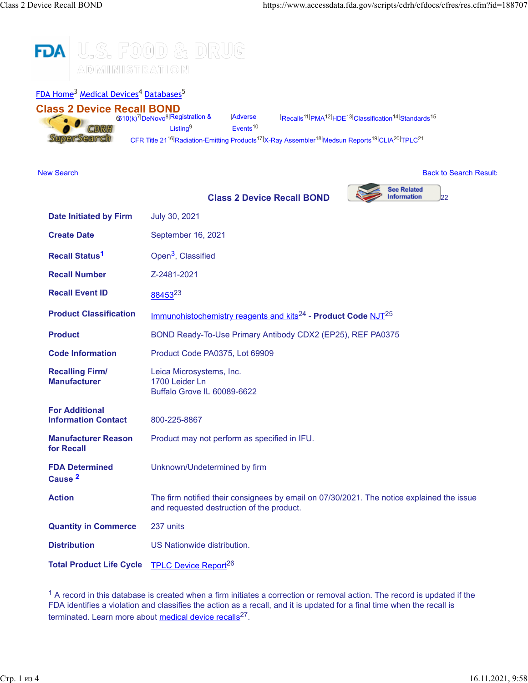## U.S. FOOD & DRUG **FDA** MOITAЯTENIMIA

### [FDA Home](https://www.fda.gov/)<sup>3</sup> [Medical Devices](http://www.fda.gov/MedicalDevices/default.htm)<sup>4</sup> [Databases](http://www.fda.gov/MedicalDevices/DeviceRegulationandGuidance/Databases/default.htm)<sup>5</sup>

**Date Initiated by Firm** July 30, 2021

**Class 2 Device Recall BOND** 6[510\(k\)](https://www.accessdata.fda.gov/scripts/cdrh/cfdocs/cfPMN/pmn.cfm)7| [DeNovo](https://www.accessdata.fda.gov/scripts/cdrh/cfdocs/cfpmn/denovo.cfm)8[|Registration &](https://www.accessdata.fda.gov/scripts/cdrh/cfdocs/cfRL/rl.cfm)  $.0$ CDRH **SuperSearch** 

[Listing](https://www.accessdata.fda.gov/scripts/cdrh/cfdocs/cfRL/rl.cfm)<sup>9</sup> [Events](https://www.accessdata.fda.gov/scripts/cdrh/cfdocs/cfMAUDE/TextSearch.cfm)<sup>10</sup> | [Recalls](https://www.accessdata.fda.gov/scripts/cdrh/cfdocs/cfRES/res.cfm)11| [PMA](https://www.accessdata.fda.gov/scripts/cdrh/cfdocs/cfPMA/pma.cfm)12| [HDE](https://www.accessdata.fda.gov/scripts/cdrh/cfdocs/cfHDE/hde.cfm)13| [Classification](https://www.accessdata.fda.gov/scripts/cdrh/cfdocs/cfPCD/classification.cfm)14| [Standards](https://www.accessdata.fda.gov/scripts/cdrh/cfdocs/cfStandards/search.cfm)<sup>15</sup>

[CFR Title 21](https://www.accessdata.fda.gov/scripts/cdrh/cfdocs/cfCFR/CFRSearch.cfm)<sup>16|</sup>[Radiation-Emitting Products](https://www.accessdata.fda.gov/scripts/cdrh/cfdocs/cfPCD_RH/classification.cfm)<sup>17|</sup>[X-Ray Assembler](https://www.accessdata.fda.gov/scripts/cdrh/cfdocs/cfAssem/assembler.cfm)<sup>18|</sup>[Medsun Reports](https://www.accessdata.fda.gov/scripts/cdrh/cfdocs/Medsun/searchReportText.cfm)<sup>19|</sup>[CLIA](https://www.accessdata.fda.gov/scripts/cdrh/cfdocs/cfClia/Search.cfm)<sup>20|</sup>[TPLC](https://www.accessdata.fda.gov/scripts/cdrh/cfdocs/cfTPLC/tplc.cfm)<sup>21</sup>

[New Search](https://www.accessdata.fda.gov/scripts/cdrh/cfdocs/cfres/res.cfm) [Back to Search Results](javascript: history.go(-1)) and the United States of the United States of the Back to Search Results and the United States of the United States of the United States of the United States of the United States of the Un

**Adverse** 



| <b>Create Date</b>                                  | September 16, 2021                                                                                                                     |
|-----------------------------------------------------|----------------------------------------------------------------------------------------------------------------------------------------|
| <b>Recall Status<sup>1</sup></b>                    | Open <sup>3</sup> , Classified                                                                                                         |
| <b>Recall Number</b>                                | Z-2481-2021                                                                                                                            |
| <b>Recall Event ID</b>                              | 8845323                                                                                                                                |
| <b>Product Classification</b>                       | Immunohistochemistry reagents and kits <sup>24</sup> - Product Code NJT <sup>25</sup>                                                  |
| <b>Product</b>                                      | BOND Ready-To-Use Primary Antibody CDX2 (EP25), REF PA0375                                                                             |
| <b>Code Information</b>                             | Product Code PA0375, Lot 69909                                                                                                         |
| <b>Recalling Firm/</b><br><b>Manufacturer</b>       | Leica Microsystems, Inc.<br>1700 Leider Ln<br>Buffalo Grove IL 60089-6622                                                              |
| <b>For Additional</b><br><b>Information Contact</b> | 800-225-8867                                                                                                                           |
| <b>Manufacturer Reason</b><br>for Recall            | Product may not perform as specified in IFU.                                                                                           |
| <b>FDA Determined</b><br>Cause <sup>2</sup>         | Unknown/Undetermined by firm                                                                                                           |
| <b>Action</b>                                       | The firm notified their consignees by email on 07/30/2021. The notice explained the issue<br>and requested destruction of the product. |
| <b>Quantity in Commerce</b>                         | 237 units                                                                                                                              |
| <b>Distribution</b>                                 | US Nationwide distribution.                                                                                                            |
| <b>Total Product Life Cycle</b>                     | <b>TPLC Device Report<sup>26</sup></b>                                                                                                 |

 $1$  A record in this database is created when a firm initiates a correction or removal action. The record is updated if the FDA identifies a violation and classifies the action as a recall, and it is updated for a final time when the recall is terminated. Learn more about [medical device recalls](http://www.fda.gov/MedicalDevices/Safety/ListofRecalls/ucm329946.htm)<sup>27</sup>.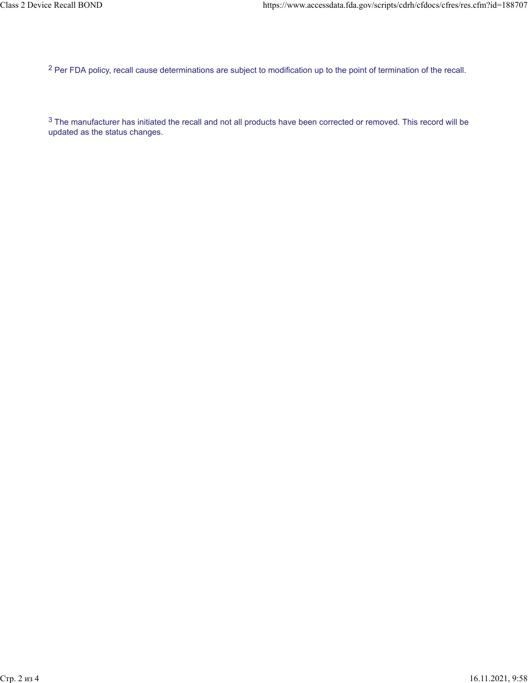<sup>2</sup> Per FDA policy, recall cause determinations are subject to modification up to the point of termination of the recall.

 $3$  The manufacturer has initiated the recall and not all products have been corrected or removed. This record will be updated as the status changes.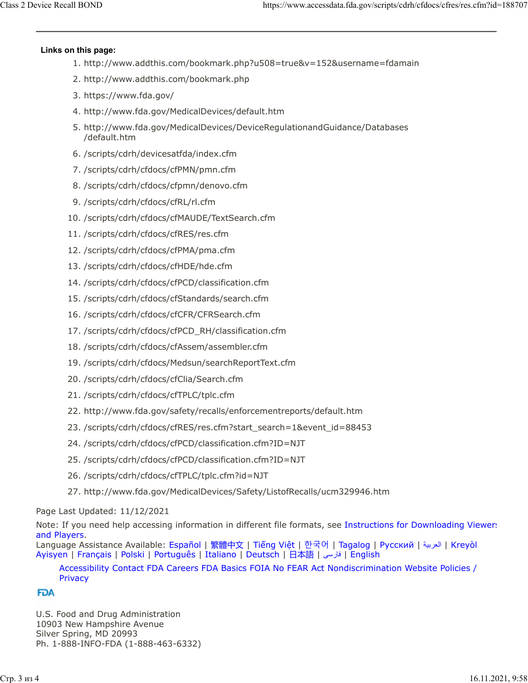## **Links on this page:**

- 1. http://www.addthis.com/bookmark.php?u508=true&v=152&username=fdamain
- 2. http://www.addthis.com/bookmark.php
- 3. https://www.fda.gov/
- 4. http://www.fda.gov/MedicalDevices/default.htm
- 5. http://www.fda.gov/MedicalDevices/DeviceRegulationandGuidance/Databases /default.htm
- 6. /scripts/cdrh/devicesatfda/index.cfm
- 7. /scripts/cdrh/cfdocs/cfPMN/pmn.cfm
- 8. /scripts/cdrh/cfdocs/cfpmn/denovo.cfm
- 9. /scripts/cdrh/cfdocs/cfRL/rl.cfm
- 10. /scripts/cdrh/cfdocs/cfMAUDE/TextSearch.cfm
- 11. /scripts/cdrh/cfdocs/cfRES/res.cfm
- 12. /scripts/cdrh/cfdocs/cfPMA/pma.cfm
- 13. /scripts/cdrh/cfdocs/cfHDE/hde.cfm
- 14. /scripts/cdrh/cfdocs/cfPCD/classification.cfm
- 15. /scripts/cdrh/cfdocs/cfStandards/search.cfm
- 16. /scripts/cdrh/cfdocs/cfCFR/CFRSearch.cfm
- 17. /scripts/cdrh/cfdocs/cfPCD\_RH/classification.cfm
- 18. /scripts/cdrh/cfdocs/cfAssem/assembler.cfm
- 19. /scripts/cdrh/cfdocs/Medsun/searchReportText.cfm
- 20. /scripts/cdrh/cfdocs/cfClia/Search.cfm
- 21. /scripts/cdrh/cfdocs/cfTPLC/tplc.cfm
- 22. http://www.fda.gov/safety/recalls/enforcementreports/default.htm
- 23. /scripts/cdrh/cfdocs/cfRES/res.cfm?start\_search=1&event\_id=88453
- 24. /scripts/cdrh/cfdocs/cfPCD/classification.cfm?ID=NJT
- 25. /scripts/cdrh/cfdocs/cfPCD/classification.cfm?ID=NJT
- 26. /scripts/cdrh/cfdocs/cfTPLC/tplc.cfm?id=NJT
- 27. http://www.fda.gov/MedicalDevices/Safety/ListofRecalls/ucm329946.htm

# Page Last Updated: 11/12/2021

Note: If you need help accessing information in different file formats, see [Instructions for Downloading Viewers](https://www.fda.gov/about-fda/website-policies/viewing-files) [and Players.](https://www.fda.gov/about-fda/website-policies/viewing-files)

Language Assistance Available: [Español](https://www.fda.gov/about-fda/about-website/language-assistance-services#spanish) | [繁體中文](https://www.fda.gov/about-fda/about-website/language-assistance-services#chinese) | Tiế[ng Vi](https://www.fda.gov/about-fda/about-website/language-assistance-services#vietnamese)ệt | [한국어](https://www.fda.gov/about-fda/about-website/language-assistance-services#korean) | [Tagalog](https://www.fda.gov/about-fda/about-website/language-assistance-services#tagalog) | [Русский](https://www.fda.gov/about-fda/about-website/language-assistance-services#russian) | [ةيبرعلا](hhttps://www.fda.gov/about-fda/about-website/language-assistance-services#arabic)| [Kreyòl](https://www.fda.gov/about-fda/about-website/language-assistance-services#creole) [Ayisyen](https://www.fda.gov/about-fda/about-website/language-assistance-services#creole) | [Français](https://www.fda.gov/about-fda/about-website/language-assistance-services#french) | [Polski](https://www.fda.gov/about-fda/about-website/language-assistance-services#polish) | [Português](https://www.fda.gov/about-fda/about-website/language-assistance-services#portuguese) | [Italiano](https://www.fda.gov/about-fda/about-website/language-assistance-services#italian) | [Deutsch](https://www.fda.gov/about-fda/about-website/language-assistance-services#german) | [日本語](https://www.fda.gov/about-fda/about-website/language-assistance-services#japanese) | [یسراف](https://www.fda.gov/about-fda/about-website/language-assistance-services#farsi)| [English](https://www.fda.gov/about-fda/about-website/language-assistance-services#english)

## [Accessibility](https://www.fda.gov/about-fda/about-website/accessibility) [Contact FDA](https://www.fda.gov/about-fda/contact-fda) [Careers](https://www.fda.gov/about-fda/jobs-and-training-fda) [FDA Basics](https://www.fda.gov/about-fda/transparency/fda-basics) [FOIA](https://www.fda.gov/regulatory-information/freedom-information) [No FEAR Act](https://www.fda.gov/about-fda/jobs-and-training-fda/no-fear-act) [Nondiscrimination](https://www.fda.gov/about-fda/about-website/fda-nondiscrimination-notice) [Website Policies /](https://www.fda.gov/about-fda/about-website/website-policies) [Privacy](https://www.fda.gov/about-fda/about-website/website-policies)

## **FDA**

U.S. Food and Drug Administration 10903 New Hampshire Avenue Silver Spring, MD 20993 Ph. 1-888-INFO-FDA (1-888-463-6332)